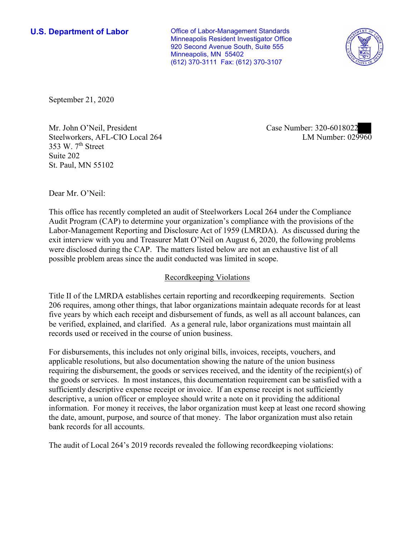**U.S. Department of Labor Conservative Conservative Conservative U.S.** Department of Labor Minneapolis Resident Investigator Office 920 Second Avenue South, Suite 555 Minneapolis, MN 55402 (612) 370-3111 Fax: (612) 370-3107



September 21, 2020

353 W.  $7<sup>th</sup>$  Street Mr. John O'Neil, President Case Number: 320-6018022 Steelworkers, AFL-CIO Local 264 Suite 202 St. Paul, MN 55102

LM Number: 029960

Dear Mr. O'Neil:

 This office has recently completed an audit of Steelworkers Local 264 under the Compliance Audit Program (CAP) to determine your organization's compliance with the provisions of the Labor-Management Reporting and Disclosure Act of 1959 (LMRDA). As discussed during the exit interview with you and Treasurer Matt O'Neil on August 6, 2020, the following problems were disclosed during the CAP. The matters listed below are not an exhaustive list of all possible problem areas since the audit conducted was limited in scope.

## Recordkeeping Violations

 Title II of the LMRDA establishes certain reporting and recordkeeping requirements. Section 206 requires, among other things, that labor organizations maintain adequate records for at least five years by which each receipt and disbursement of funds, as well as all account balances, can be verified, explained, and clarified. As a general rule, labor organizations must maintain all records used or received in the course of union business.

For disbursements, this includes not only original bills, invoices, receipts, vouchers, and applicable resolutions, but also documentation showing the nature of the union business requiring the disbursement, the goods or services received, and the identity of the recipient(s) of the goods or services. In most instances, this documentation requirement can be satisfied with a sufficiently descriptive expense receipt or invoice. If an expense receipt is not sufficiently descriptive, a union officer or employee should write a note on it providing the additional information. For money it receives, the labor organization must keep at least one record showing the date, amount, purpose, and source of that money. The labor organization must also retain bank records for all accounts.

The audit of Local 264's 2019 records revealed the following recordkeeping violations: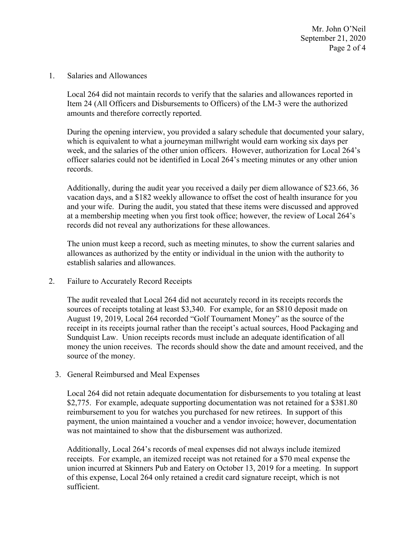Mr. John O'Neil September 21, 2020 Page 2 of 4

Salaries and Allowances

amounts and therefore correctly reported. 1. Salaries and Allowances<br>Local 264 did not maintain records to verify that the salaries and allowances reported in Item 24 (All Officers and Disbursements to Officers) of the LM-3 were the authorized

 week, and the salaries of the other union officers. However, authorization for Local 264's officer salaries could not be identified in Local 264's meeting minutes or any other union records. During the opening interview, you provided a salary schedule that documented your salary, which is equivalent to what a journeyman millwright would earn working six days per

records.<br>Additionally, during the audit year you received a daily per diem allowance of \$23.66, 36 vacation days, and a \$182 weekly allowance to offset the cost of health insurance for you at a membership meeting when you first took office; however, the review of Local 264's records did not reveal any authorizations for these allowances. and your wife. During the audit, you stated that these items were discussed and approved

The union must keep a record, such as meeting minutes, to show the current salaries and allowances as authorized by the entity or individual in the union with the authority to establish salaries and allowances.

2. Failure to Accurately Record Receipts

 The audit revealed that Local 264 did not accurately record in its receipts records the sources of receipts totaling at least \$3,340. For example, for an \$810 deposit made on August 19, 2019, Local 264 recorded "Golf Tournament Money" as the source of the receipt in its receipts journal rather than the receipt's actual sources, Hood Packaging and Sundquist Law. Union receipts records must include an adequate identification of all money the union receives. The records should show the date and amount received, and the source of the money.

3. General Reimbursed and Meal Expenses

Local 264 did not retain adequate documentation for disbursements to you totaling at least \$2,775. For example, adequate supporting documentation was not retained for a \$381.80 reimbursement to you for watches you purchased for new retirees. In support of this payment, the union maintained a voucher and a vendor invoice; however, documentation was not maintained to show that the disbursement was authorized.

 receipts. For example, an itemized receipt was not retained for a \$70 meal expense the Additionally, Local 264's records of meal expenses did not always include itemized union incurred at Skinners Pub and Eatery on October 13, 2019 for a meeting. In support of this expense, Local 264 only retained a credit card signature receipt, which is not sufficient.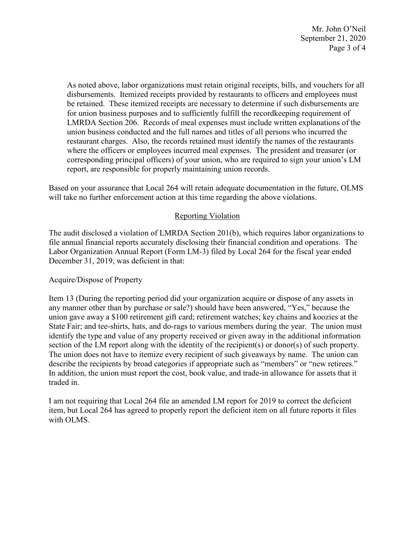Mr. John O'Neil September 21, 2020 Page 3 of 4

 be retained. These itemized receipts are necessary to determine if such disbursements are corresponding principal officers) of your union, who are required to sign your union's LM As noted above, labor organizations must retain original receipts, bills, and vouchers for all disbursements. Itemized receipts provided by restaurants to officers and employees must for union business purposes and to sufficiently fulfill the recordkeeping requirement of LMRDA Section 206. Records of meal expenses must include written explanations of the union business conducted and the full names and titles of all persons who incurred the restaurant charges. Also, the records retained must identify the names of the restaurants where the officers or employees incurred meal expenses. The president and treasurer (or report, are responsible for properly maintaining union records.

Based on your assurance that Local 264 will retain adequate documentation in the future, OLMS will take no further enforcement action at this time regarding the above violations.

## Reporting Violation

 Labor Organization Annual Report (Form LM-3) filed by Local 264 for the fiscal year ended The audit disclosed a violation of LMRDA Section 201(b), which requires labor organizations to file annual financial reports accurately disclosing their financial condition and operations. The December 31, 2019, was deficient in that:

## Acquire/Dispose of Property

 union gave away a \$100 retirement gift card; retirement watches; key chains and koozies at the section of the LM report along with the identity of the recipient(s) or donor(s) of such property. Item 13 (During the reporting period did your organization acquire or dispose of any assets in any manner other than by purchase or sale?) should have been answered, "Yes," because the State Fair; and tee-shirts, hats, and do-rags to various members during the year. The union must identify the type and value of any property received or given away in the additional information The union does not have to itemize every recipient of such giveaways by name. The union can describe the recipients by broad categories if appropriate such as "members" or "new retirees." In addition, the union must report the cost, book value, and trade-in allowance for assets that it traded in.

I am not requiring that Local 264 file an amended LM report for 2019 to correct the deficient item, but Local 264 has agreed to properly report the deficient item on all future reports it files with OLMS.